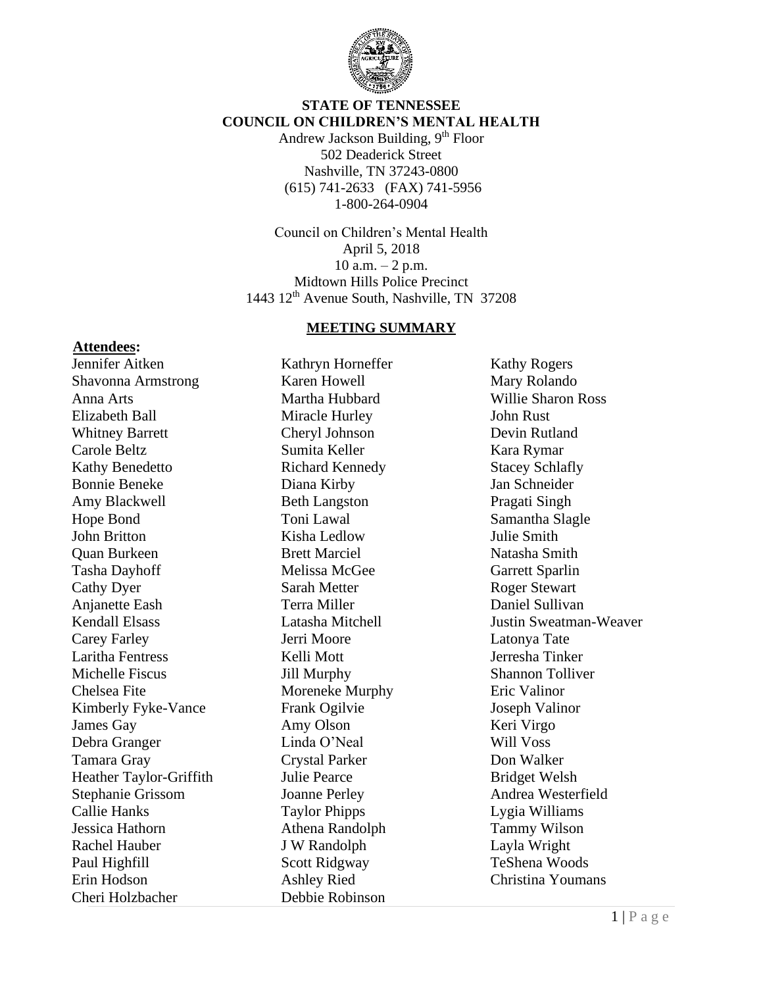

### **STATE OF TENNESSEE COUNCIL ON CHILDREN'S MENTAL HEALTH**

Andrew Jackson Building,  $9<sup>th</sup>$  Floor 502 Deaderick Street Nashville, TN 37243-0800 (615) 741-2633 (FAX) 741-5956 1-800-264-0904

Council on Children's Mental Health April 5, 2018 10 a.m.  $-2$  p.m. Midtown Hills Police Precinct 1443 12th Avenue South, Nashville, TN 37208

#### **MEETING SUMMARY**

#### **Attendees:**

Jennifer Aitken Shavonna Armstrong Anna Arts Elizabeth Ball Whitney Barrett Carole Beltz Kathy Benedetto Bonnie Beneke Amy Blackwell Hope Bond John Britton Quan Burkeen Tasha Dayhoff Cathy Dyer Anjanette Eash Kendall Elsass Carey Farley Laritha Fentress Michelle Fiscus Chelsea Fite Kimberly Fyke-Vance James Gay Debra Granger Tamara Gray Heather Taylor-Griffith Stephanie Grissom Callie Hanks Jessica Hathorn Rachel Hauber Paul Highfill Erin Hodson Cheri Holzbacher

Kathryn Horneffer Karen Howell Martha Hubbard Miracle Hurley Cheryl Johnson Sumita Keller Richard Kennedy Diana Kirby Beth Langston Toni Lawal Kisha Ledlow Brett Marciel Melissa McGee Sarah Metter Terra Miller Latasha Mitchell Jerri Moore Kelli Mott Jill Murphy Moreneke Murphy Frank Ogilvie Amy Olson Linda O'Neal Crystal Parker Julie Pearce Joanne Perley Taylor Phipps Athena Randolph J W Randolph Scott Ridgway Ashley Ried Debbie Robinson

Kathy Rogers Mary Rolando Willie Sharon Ross John Rust Devin Rutland Kara Rymar Stacey Schlafly Jan Schneider Pragati Singh Samantha Slagle Julie Smith Natasha Smith Garrett Sparlin Roger Stewart Daniel Sullivan Justin Sweatman-Weaver Latonya Tate Jerresha Tinker Shannon Tolliver Eric Valinor Joseph Valinor Keri Virgo Will Voss Don Walker Bridget Welsh Andrea Westerfield Lygia Williams Tammy Wilson Layla Wright TeShena Woods Christina Youmans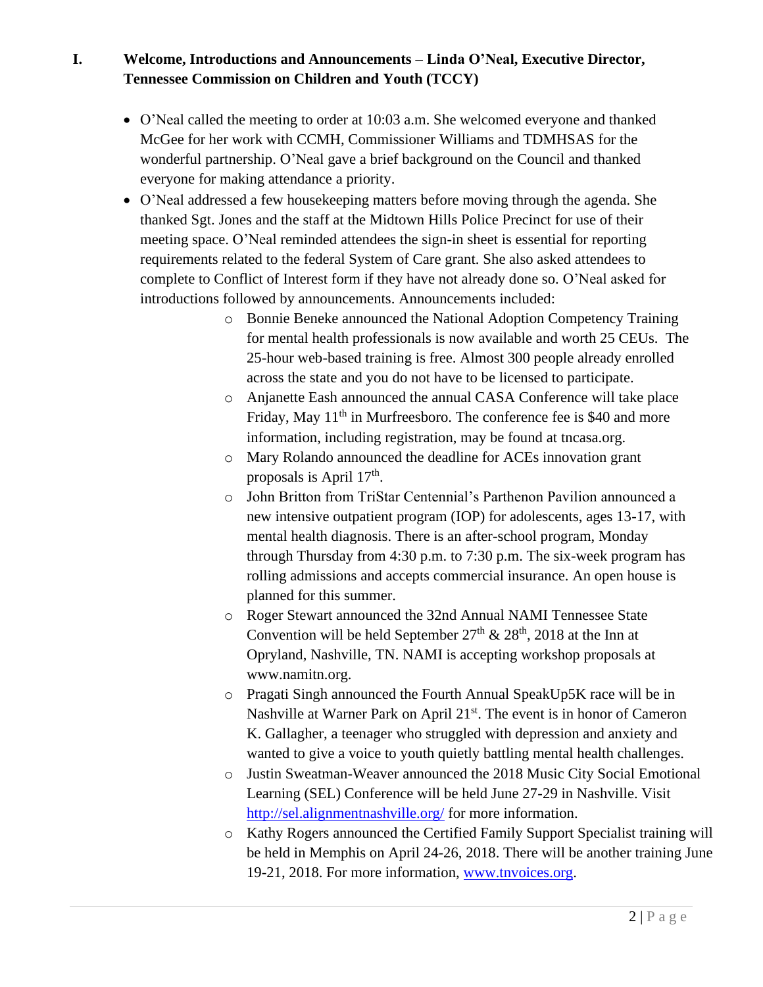**I. Welcome, Introductions and Announcements – Linda O'Neal, Executive Director, Tennessee Commission on Children and Youth (TCCY)** 

- O'Neal called the meeting to order at 10:03 a.m. She welcomed everyone and thanked McGee for her work with CCMH, Commissioner Williams and TDMHSAS for the wonderful partnership. O'Neal gave a brief background on the Council and thanked everyone for making attendance a priority.
- O'Neal addressed a few housekeeping matters before moving through the agenda. She thanked Sgt. Jones and the staff at the Midtown Hills Police Precinct for use of their meeting space. O'Neal reminded attendees the sign-in sheet is essential for reporting requirements related to the federal System of Care grant. She also asked attendees to complete to Conflict of Interest form if they have not already done so. O'Neal asked for introductions followed by announcements. Announcements included:
	- o Bonnie Beneke announced the National Adoption Competency Training for mental health professionals is now available and worth 25 CEUs. The 25-hour web-based training is free. Almost 300 people already enrolled across the state and you do not have to be licensed to participate.
	- o Anjanette Eash announced the annual CASA Conference will take place Friday, May  $11<sup>th</sup>$  in Murfreesboro. The conference fee is \$40 and more information, including registration, may be found at tncasa.org.
	- o Mary Rolando announced the deadline for ACEs innovation grant proposals is April 17<sup>th</sup>.
	- o John Britton from TriStar Centennial's Parthenon Pavilion announced a new intensive outpatient program (IOP) for adolescents, ages 13-17, with mental health diagnosis. There is an after-school program, Monday through Thursday from 4:30 p.m. to 7:30 p.m. The six-week program has rolling admissions and accepts commercial insurance. An open house is planned for this summer.
	- o Roger Stewart announced the 32nd Annual NAMI Tennessee State Convention will be held September  $27<sup>th</sup>$  &  $28<sup>th</sup>$ , 2018 at the Inn at Opryland, Nashville, TN. NAMI is accepting workshop proposals at www.namitn.org.
	- o Pragati Singh announced the Fourth Annual SpeakUp5K race will be in Nashville at Warner Park on April 21<sup>st</sup>. The event is in honor of Cameron K. Gallagher, a teenager who struggled with depression and anxiety and wanted to give a voice to youth quietly battling mental health challenges.
	- o Justin Sweatman-Weaver announced the 2018 Music City Social Emotional Learning (SEL) Conference will be held June 27-29 in Nashville. Visit <http://sel.alignmentnashville.org/> for more information.
	- o Kathy Rogers announced the Certified Family Support Specialist training will be held in Memphis on April 24-26, 2018. There will be another training June 19-21, 2018. For more information, [www.tnvoices.org.](http://www.tnvoices.org/)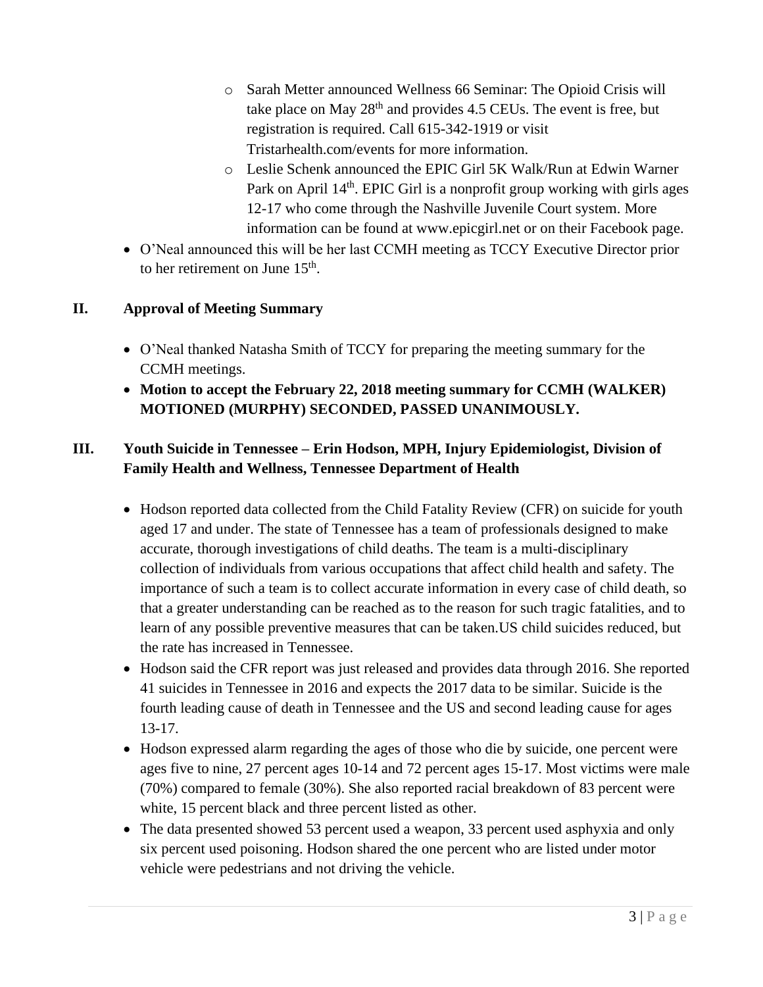- o Sarah Metter announced Wellness 66 Seminar: The Opioid Crisis will take place on May  $28<sup>th</sup>$  and provides 4.5 CEUs. The event is free, but registration is required. Call 615-342-1919 or visit Tristarhealth.com/events for more information.
- o Leslie Schenk announced the EPIC Girl 5K Walk/Run at Edwin Warner Park on April 14<sup>th</sup>. EPIC Girl is a nonprofit group working with girls ages 12-17 who come through the Nashville Juvenile Court system. More information can be found at www.epicgirl.net or on their Facebook page.
- O'Neal announced this will be her last CCMH meeting as TCCY Executive Director prior to her retirement on June  $15<sup>th</sup>$ .

# **II. Approval of Meeting Summary**

- O'Neal thanked Natasha Smith of TCCY for preparing the meeting summary for the CCMH meetings.
- **Motion to accept the February 22, 2018 meeting summary for CCMH (WALKER) MOTIONED (MURPHY) SECONDED, PASSED UNANIMOUSLY.**

# **III. Youth Suicide in Tennessee – Erin Hodson, MPH, Injury Epidemiologist, Division of Family Health and Wellness, Tennessee Department of Health**

- Hodson reported data collected from the Child Fatality Review (CFR) on suicide for youth aged 17 and under. The state of Tennessee has a team of professionals designed to make accurate, thorough investigations of child deaths. The team is a multi-disciplinary collection of individuals from various occupations that affect child health and safety. The importance of such a team is to collect accurate information in every case of child death, so that a greater understanding can be reached as to the reason for such tragic fatalities, and to learn of any possible preventive measures that can be taken.US child suicides reduced, but the rate has increased in Tennessee.
- Hodson said the CFR report was just released and provides data through 2016. She reported 41 suicides in Tennessee in 2016 and expects the 2017 data to be similar. Suicide is the fourth leading cause of death in Tennessee and the US and second leading cause for ages 13-17.
- Hodson expressed alarm regarding the ages of those who die by suicide, one percent were ages five to nine, 27 percent ages 10-14 and 72 percent ages 15-17. Most victims were male (70%) compared to female (30%). She also reported racial breakdown of 83 percent were white, 15 percent black and three percent listed as other.
- The data presented showed 53 percent used a weapon, 33 percent used asphyxia and only six percent used poisoning. Hodson shared the one percent who are listed under motor vehicle were pedestrians and not driving the vehicle.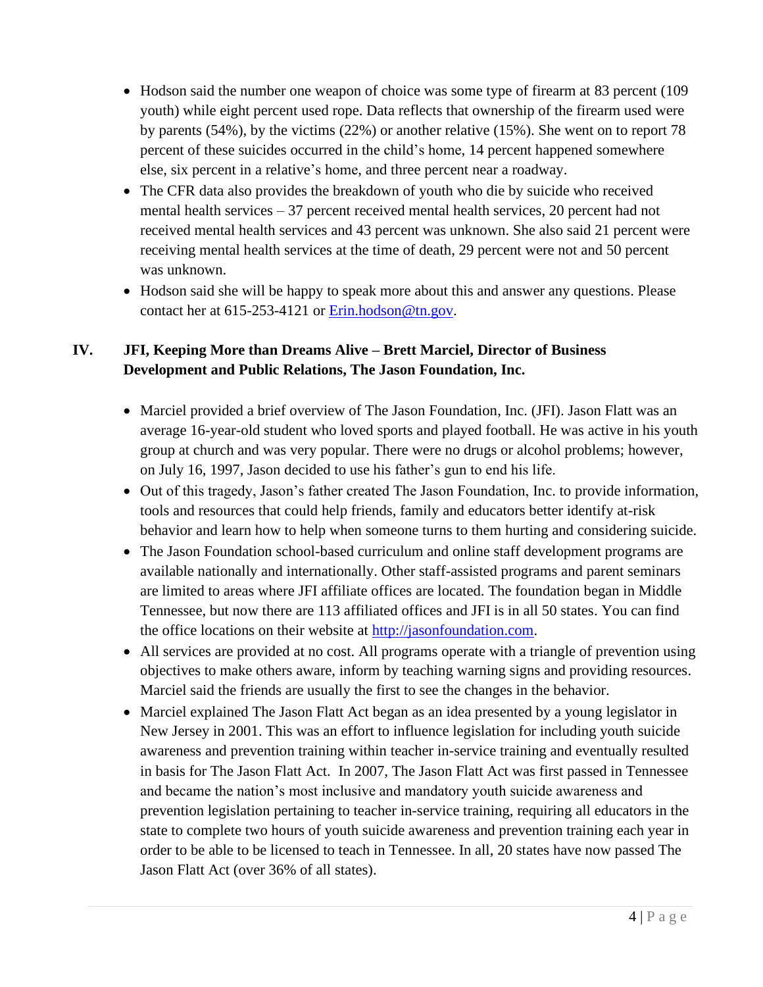- Hodson said the number one weapon of choice was some type of firearm at 83 percent (109) youth) while eight percent used rope. Data reflects that ownership of the firearm used were by parents (54%), by the victims (22%) or another relative (15%). She went on to report 78 percent of these suicides occurred in the child's home, 14 percent happened somewhere else, six percent in a relative's home, and three percent near a roadway.
- The CFR data also provides the breakdown of youth who die by suicide who received mental health services – 37 percent received mental health services, 20 percent had not received mental health services and 43 percent was unknown. She also said 21 percent were receiving mental health services at the time of death, 29 percent were not and 50 percent was unknown.
- Hodson said she will be happy to speak more about this and answer any questions. Please contact her at 615-253-4121 or [Erin.hodson@tn.gov.](mailto:Erin.hodson@tn.gov)

# **IV. JFI, Keeping More than Dreams Alive – Brett Marciel, Director of Business Development and Public Relations, The Jason Foundation, Inc.**

- Marciel provided a brief overview of The Jason Foundation, Inc. (JFI). Jason Flatt was an average 16-year-old student who loved sports and played football. He was active in his youth group at church and was very popular. There were no drugs or alcohol problems; however, on July 16, 1997, Jason decided to use his father's gun to end his life.
- Out of this tragedy, Jason's father created The Jason Foundation, Inc. to provide information, tools and resources that could help friends, family and educators better identify at-risk behavior and learn how to help when someone turns to them hurting and considering suicide.
- The Jason Foundation school-based curriculum and online staff development programs are available nationally and internationally. Other staff-assisted programs and parent seminars are limited to areas where JFI affiliate offices are located. The foundation began in Middle Tennessee, but now there are 113 affiliated offices and JFI is in all 50 states. You can find the office locations on their website at [http://jasonfoundation.com.](http://jasonfoundation.com/)
- All services are provided at no cost. All programs operate with a triangle of prevention using objectives to make others aware, inform by teaching warning signs and providing resources. Marciel said the friends are usually the first to see the changes in the behavior.
- Marciel explained The Jason Flatt Act began as an idea presented by a young legislator in New Jersey in 2001. This was an effort to influence legislation for including youth suicide awareness and prevention training within teacher in-service training and eventually resulted in basis for The Jason Flatt Act. In 2007, The Jason Flatt Act was first passed in Tennessee and became the nation's most inclusive and mandatory youth suicide awareness and prevention legislation pertaining to teacher in-service training, requiring all educators in the state to complete two hours of youth suicide awareness and prevention training each year in order to be able to be licensed to teach in Tennessee. In all, 20 states have now passed The Jason Flatt Act (over 36% of all states).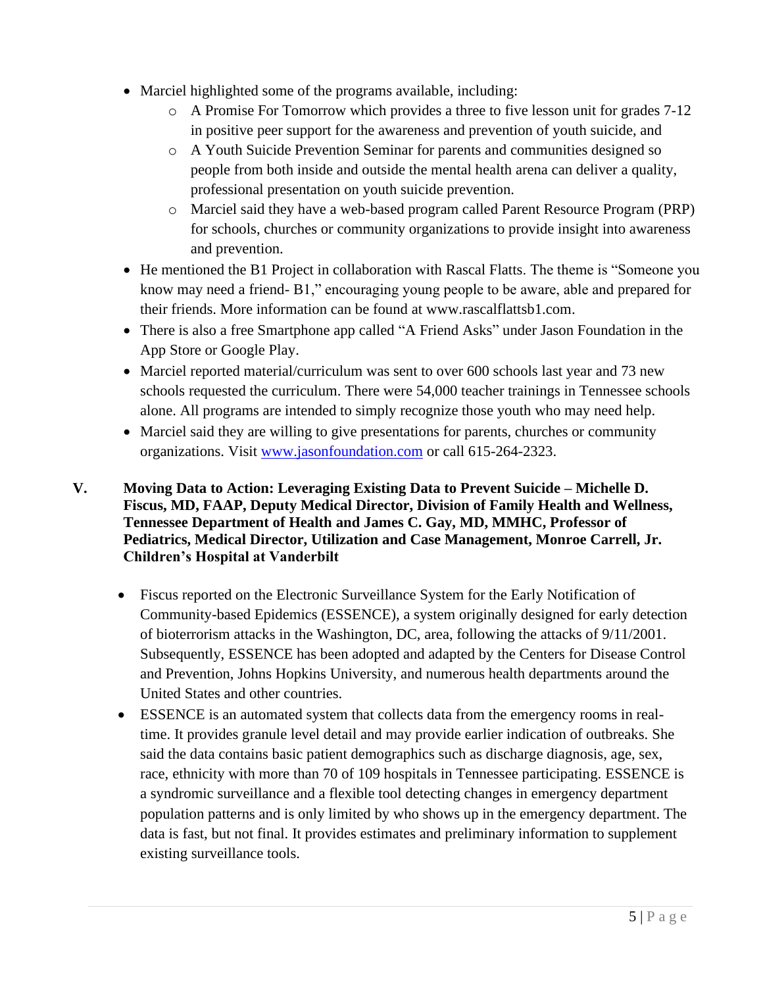- Marciel highlighted some of the programs available, including:
	- o A Promise For Tomorrow which provides a three to five lesson unit for grades 7-12 in positive peer support for the awareness and prevention of youth suicide, and
	- o A Youth Suicide Prevention Seminar for parents and communities designed so people from both inside and outside the mental health arena can deliver a quality, professional presentation on youth suicide prevention.
	- o Marciel said they have a web-based program called Parent Resource Program (PRP) for schools, churches or community organizations to provide insight into awareness and prevention.
- He mentioned the B1 Project in collaboration with Rascal Flatts. The theme is "Someone you know may need a friend- B1," encouraging young people to be aware, able and prepared for their friends. More information can be found at www.rascalflattsb1.com.
- There is also a free Smartphone app called "A Friend Asks" under Jason Foundation in the App Store or Google Play.
- Marciel reported material/curriculum was sent to over 600 schools last year and 73 new schools requested the curriculum. There were 54,000 teacher trainings in Tennessee schools alone. All programs are intended to simply recognize those youth who may need help.
- Marciel said they are willing to give presentations for parents, churches or community organizations. Visit [www.jasonfoundation.com](http://www.jasonfoundation.com/) or call 615-264-2323.

### **V. Moving Data to Action: Leveraging Existing Data to Prevent Suicide – Michelle D. Fiscus, MD, FAAP, Deputy Medical Director, Division of Family Health and Wellness, Tennessee Department of Health and James C. Gay, MD, MMHC, Professor of Pediatrics, Medical Director, Utilization and Case Management, Monroe Carrell, Jr. Children's Hospital at Vanderbilt**

- Fiscus reported on the Electronic Surveillance System for the Early Notification of Community-based Epidemics (ESSENCE), a system originally designed for early detection of bioterrorism attacks in the Washington, DC, area, following the attacks of 9/11/2001. Subsequently, ESSENCE has been adopted and adapted by the Centers for Disease Control and Prevention, Johns Hopkins University, and numerous health departments around the United States and other countries.
- ESSENCE is an automated system that collects data from the emergency rooms in realtime. It provides granule level detail and may provide earlier indication of outbreaks. She said the data contains basic patient demographics such as discharge diagnosis, age, sex, race, ethnicity with more than 70 of 109 hospitals in Tennessee participating. ESSENCE is a syndromic surveillance and a flexible tool detecting changes in emergency department population patterns and is only limited by who shows up in the emergency department. The data is fast, but not final. It provides estimates and preliminary information to supplement existing surveillance tools.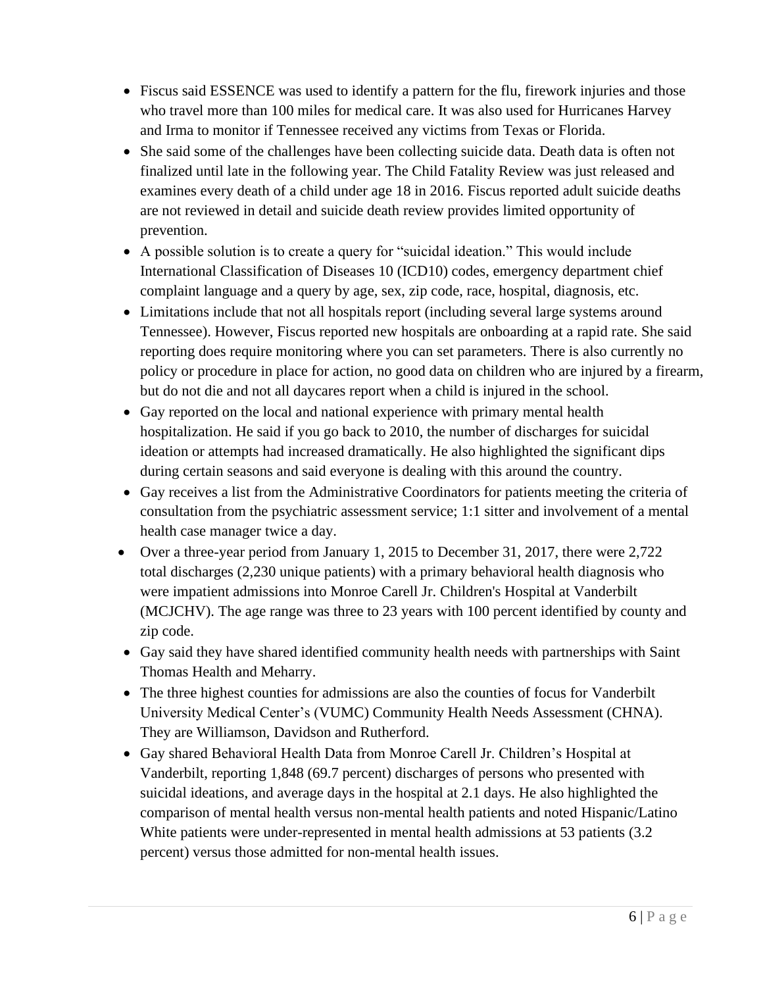- Fiscus said ESSENCE was used to identify a pattern for the flu, firework injuries and those who travel more than 100 miles for medical care. It was also used for Hurricanes Harvey and Irma to monitor if Tennessee received any victims from Texas or Florida.
- She said some of the challenges have been collecting suicide data. Death data is often not finalized until late in the following year. The Child Fatality Review was just released and examines every death of a child under age 18 in 2016. Fiscus reported adult suicide deaths are not reviewed in detail and suicide death review provides limited opportunity of prevention.
- A possible solution is to create a query for "suicidal ideation." This would include International Classification of Diseases 10 (ICD10) codes, emergency department chief complaint language and a query by age, sex, zip code, race, hospital, diagnosis, etc.
- Limitations include that not all hospitals report (including several large systems around Tennessee). However, Fiscus reported new hospitals are onboarding at a rapid rate. She said reporting does require monitoring where you can set parameters. There is also currently no policy or procedure in place for action, no good data on children who are injured by a firearm, but do not die and not all daycares report when a child is injured in the school.
- Gay reported on the local and national experience with primary mental health hospitalization. He said if you go back to 2010, the number of discharges for suicidal ideation or attempts had increased dramatically. He also highlighted the significant dips during certain seasons and said everyone is dealing with this around the country.
- Gay receives a list from the Administrative Coordinators for patients meeting the criteria of consultation from the psychiatric assessment service; 1:1 sitter and involvement of a mental health case manager twice a day.
- Over a three-year period from January 1, 2015 to December 31, 2017, there were 2,722 total discharges (2,230 unique patients) with a primary behavioral health diagnosis who were impatient admissions into Monroe Carell Jr. Children's Hospital at Vanderbilt (MCJCHV). The age range was three to 23 years with 100 percent identified by county and zip code.
- Gay said they have shared identified community health needs with partnerships with Saint Thomas Health and Meharry.
- The three highest counties for admissions are also the counties of focus for Vanderbilt University Medical Center's (VUMC) Community Health Needs Assessment (CHNA). They are Williamson, Davidson and Rutherford.
- Gay shared Behavioral Health Data from Monroe Carell Jr. Children's Hospital at Vanderbilt, reporting 1,848 (69.7 percent) discharges of persons who presented with suicidal ideations, and average days in the hospital at 2.1 days. He also highlighted the comparison of mental health versus non-mental health patients and noted Hispanic/Latino White patients were under-represented in mental health admissions at 53 patients (3.2 percent) versus those admitted for non-mental health issues.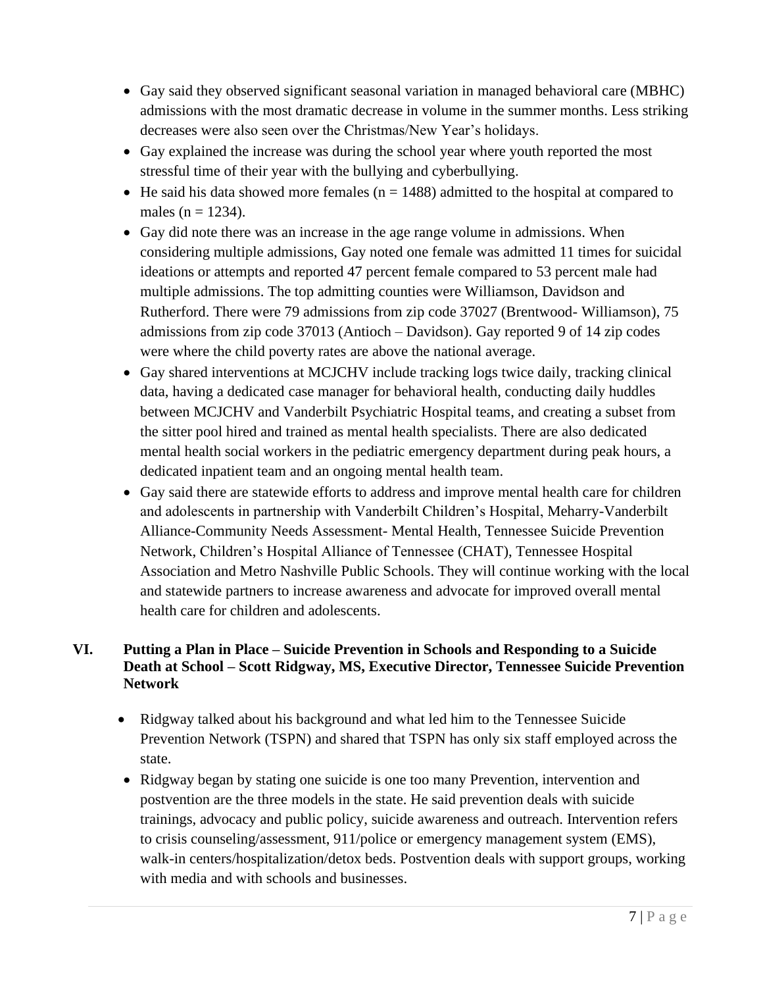- Gay said they observed significant seasonal variation in managed behavioral care (MBHC) admissions with the most dramatic decrease in volume in the summer months. Less striking decreases were also seen over the Christmas/New Year's holidays.
- Gay explained the increase was during the school year where youth reported the most stressful time of their year with the bullying and cyberbullying.
- He said his data showed more females ( $n = 1488$ ) admitted to the hospital at compared to males ( $n = 1234$ ).
- Gay did note there was an increase in the age range volume in admissions. When considering multiple admissions, Gay noted one female was admitted 11 times for suicidal ideations or attempts and reported 47 percent female compared to 53 percent male had multiple admissions. The top admitting counties were Williamson, Davidson and Rutherford. There were 79 admissions from zip code 37027 (Brentwood- Williamson), 75 admissions from zip code 37013 (Antioch – Davidson). Gay reported 9 of 14 zip codes were where the child poverty rates are above the national average.
- Gay shared interventions at MCJCHV include tracking logs twice daily, tracking clinical data, having a dedicated case manager for behavioral health, conducting daily huddles between MCJCHV and Vanderbilt Psychiatric Hospital teams, and creating a subset from the sitter pool hired and trained as mental health specialists. There are also dedicated mental health social workers in the pediatric emergency department during peak hours, a dedicated inpatient team and an ongoing mental health team.
- Gay said there are statewide efforts to address and improve mental health care for children and adolescents in partnership with Vanderbilt Children's Hospital, Meharry-Vanderbilt Alliance-Community Needs Assessment- Mental Health, Tennessee Suicide Prevention Network, Children's Hospital Alliance of Tennessee (CHAT), Tennessee Hospital Association and Metro Nashville Public Schools. They will continue working with the local and statewide partners to increase awareness and advocate for improved overall mental health care for children and adolescents.

### **VI. Putting a Plan in Place – Suicide Prevention in Schools and Responding to a Suicide Death at School – Scott Ridgway, MS, Executive Director, Tennessee Suicide Prevention Network**

- Ridgway talked about his background and what led him to the Tennessee Suicide Prevention Network (TSPN) and shared that TSPN has only six staff employed across the state.
- Ridgway began by stating one suicide is one too many Prevention, intervention and postvention are the three models in the state. He said prevention deals with suicide trainings, advocacy and public policy, suicide awareness and outreach. Intervention refers to crisis counseling/assessment, 911/police or emergency management system (EMS), walk-in centers/hospitalization/detox beds. Postvention deals with support groups, working with media and with schools and businesses.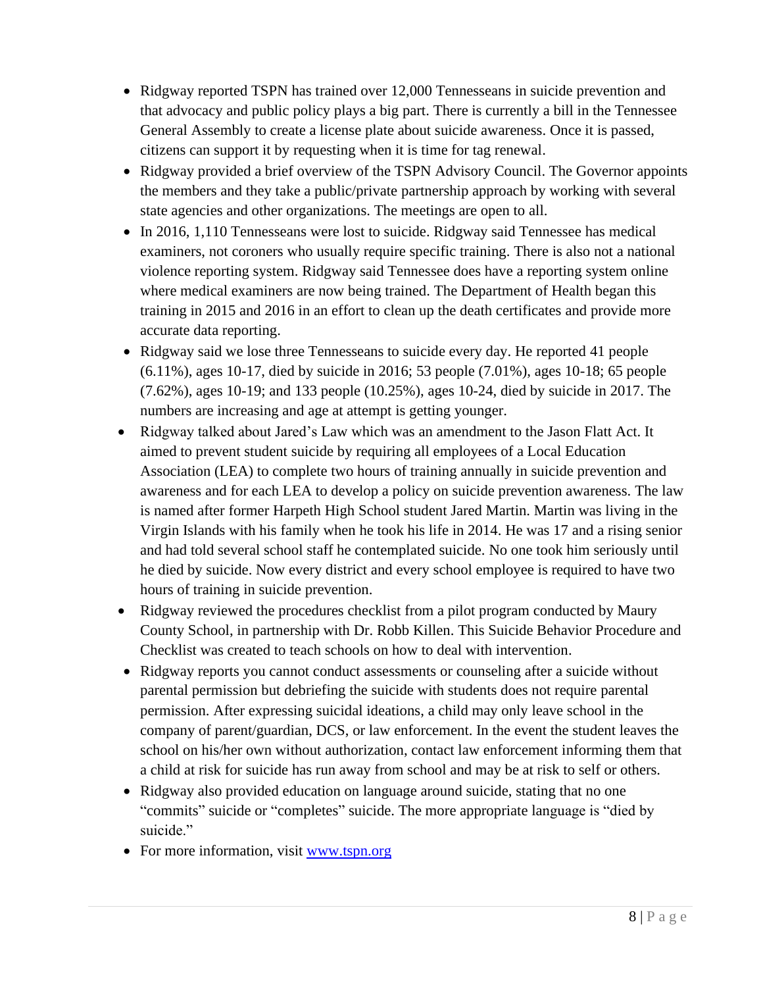- Ridgway reported TSPN has trained over 12,000 Tennesseans in suicide prevention and that advocacy and public policy plays a big part. There is currently a bill in the Tennessee General Assembly to create a license plate about suicide awareness. Once it is passed, citizens can support it by requesting when it is time for tag renewal.
- Ridgway provided a brief overview of the TSPN Advisory Council. The Governor appoints the members and they take a public/private partnership approach by working with several state agencies and other organizations. The meetings are open to all.
- In 2016, 1,110 Tennesseans were lost to suicide. Ridgway said Tennessee has medical examiners, not coroners who usually require specific training. There is also not a national violence reporting system. Ridgway said Tennessee does have a reporting system online where medical examiners are now being trained. The Department of Health began this training in 2015 and 2016 in an effort to clean up the death certificates and provide more accurate data reporting.
- Ridgway said we lose three Tennesseans to suicide every day. He reported 41 people (6.11%), ages 10-17, died by suicide in 2016; 53 people (7.01%), ages 10-18; 65 people (7.62%), ages 10-19; and 133 people (10.25%), ages 10-24, died by suicide in 2017. The numbers are increasing and age at attempt is getting younger.
- Ridgway talked about Jared's Law which was an amendment to the Jason Flatt Act. It aimed to prevent student suicide by requiring all employees of a Local Education Association (LEA) to complete two hours of training annually in suicide prevention and awareness and for each LEA to develop a policy on suicide prevention awareness. The law is named after former Harpeth High School student Jared Martin. Martin was living in the Virgin Islands with his family when he took his life in 2014. He was 17 and a rising senior and had told several school staff he contemplated suicide. No one took him seriously until he died by suicide. Now every district and every school employee is required to have two hours of training in suicide prevention.
- Ridgway reviewed the procedures checklist from a pilot program conducted by Maury County School, in partnership with Dr. Robb Killen. This Suicide Behavior Procedure and Checklist was created to teach schools on how to deal with intervention.
- Ridgway reports you cannot conduct assessments or counseling after a suicide without parental permission but debriefing the suicide with students does not require parental permission. After expressing suicidal ideations, a child may only leave school in the company of parent/guardian, DCS, or law enforcement. In the event the student leaves the school on his/her own without authorization, contact law enforcement informing them that a child at risk for suicide has run away from school and may be at risk to self or others.
- Ridgway also provided education on language around suicide, stating that no one "commits" suicide or "completes" suicide. The more appropriate language is "died by suicide."
- For more information, visit [www.tspn.org](http://www.tspn.org/)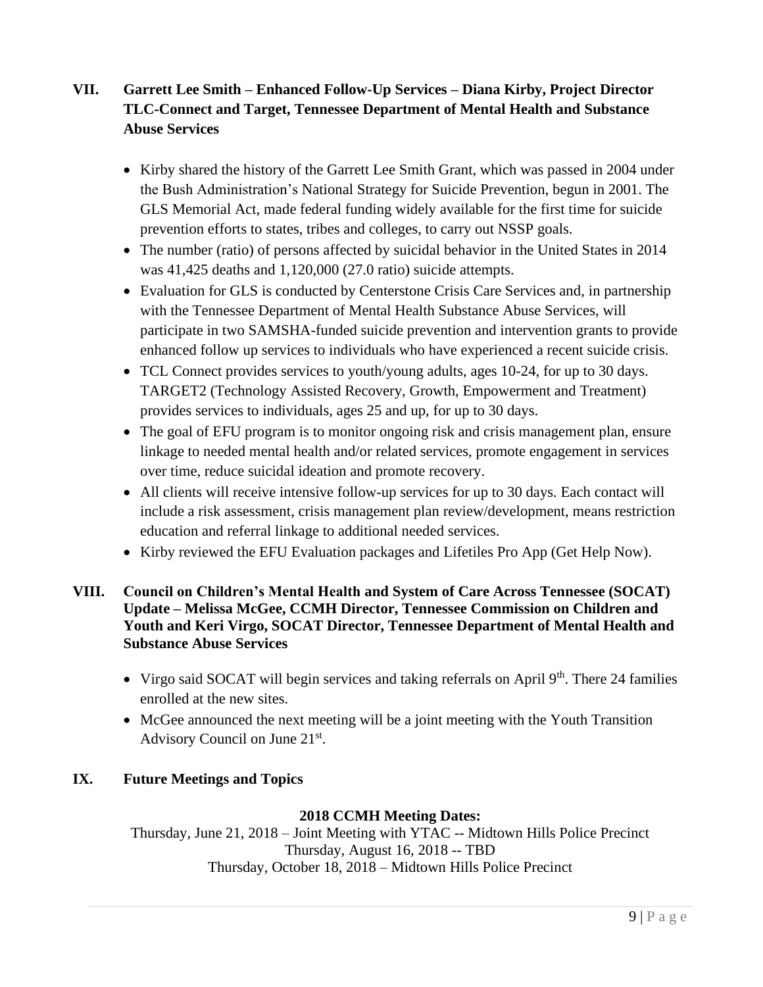# **VII. Garrett Lee Smith – Enhanced Follow-Up Services – Diana Kirby, Project Director TLC-Connect and Target, Tennessee Department of Mental Health and Substance Abuse Services**

- Kirby shared the history of the Garrett Lee Smith Grant, which was passed in 2004 under the Bush Administration's National Strategy for Suicide Prevention, begun in 2001. The GLS Memorial Act, made federal funding widely available for the first time for suicide prevention efforts to states, tribes and colleges, to carry out NSSP goals.
- The number (ratio) of persons affected by suicidal behavior in the United States in 2014 was 41,425 deaths and 1,120,000 (27.0 ratio) suicide attempts.
- Evaluation for GLS is conducted by Centerstone Crisis Care Services and, in partnership with the Tennessee Department of Mental Health Substance Abuse Services, will participate in two SAMSHA-funded suicide prevention and intervention grants to provide enhanced follow up services to individuals who have experienced a recent suicide crisis.
- TCL Connect provides services to youth/young adults, ages 10-24, for up to 30 days. TARGET2 (Technology Assisted Recovery, Growth, Empowerment and Treatment) provides services to individuals, ages 25 and up, for up to 30 days.
- The goal of EFU program is to monitor ongoing risk and crisis management plan, ensure linkage to needed mental health and/or related services, promote engagement in services over time, reduce suicidal ideation and promote recovery.
- All clients will receive intensive follow-up services for up to 30 days. Each contact will include a risk assessment, crisis management plan review/development, means restriction education and referral linkage to additional needed services.
- Kirby reviewed the EFU Evaluation packages and Lifetiles Pro App (Get Help Now).

#### **VIII. Council on Children's Mental Health and System of Care Across Tennessee (SOCAT) Update – Melissa McGee, CCMH Director, Tennessee Commission on Children and Youth and Keri Virgo, SOCAT Director, Tennessee Department of Mental Health and Substance Abuse Services**

- Virgo said SOCAT will begin services and taking referrals on April  $9<sup>th</sup>$ . There 24 families enrolled at the new sites.
- McGee announced the next meeting will be a joint meeting with the Youth Transition Advisory Council on June 21st.

#### **IX. Future Meetings and Topics**

#### **2018 CCMH Meeting Dates:**

Thursday, June 21, 2018 – Joint Meeting with YTAC -- Midtown Hills Police Precinct Thursday, August 16, 2018 -- TBD Thursday, October 18, 2018 – Midtown Hills Police Precinct